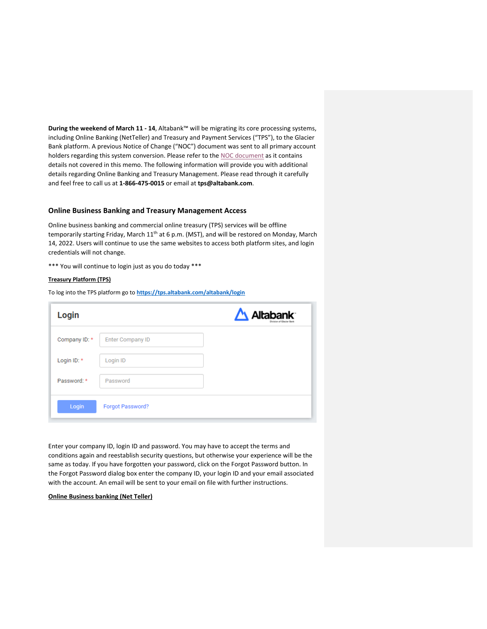**During the weekend of March 11 - 14**, Altabank™ will be migrating its core processing systems, including Online Banking (NetTeller) and Treasury and Payment Services ("TPS"), to the Glacier Bank platform. A previous Notice of Change ("NOC") document was sent to all primary account holders regarding this system conversion. Please refer to the NOC document as it contains details not covered in this memo. The following information will provide you with additional details regarding Online Banking and Treasury Management. Please read through it carefully and feel free to call us at **1-866-475-0015** or email at **tps@altabank.com**.

## **Online Business Banking and Treasury Management Access**

Online business banking and commercial online treasury (TPS) services will be offline temporarily starting Friday, March  $11<sup>th</sup>$  at 6 p.m. (MST), and will be restored on Monday, March 14, 2022. Users will continue to use the same websites to access both platform sites, and login credentials will not change.

\*\*\* You will continue to login just as you do today \*\*\*

## **Treasury Platform (TPS)**

To log into the TPS platform go to **https://tps.altabank.com/altabank/login**

| Login         |                         | Altabank <sup>-</sup> |
|---------------|-------------------------|-----------------------|
| Company ID: * | <b>Enter Company ID</b> |                       |
| Login ID: *   | Login ID                |                       |
| Password: *   | Password                |                       |
| Login         | Forgot Password?        |                       |

Enter your company ID, login ID and password. You may have to accept the terms and conditions again and reestablish security questions, but otherwise your experience will be the same as today. If you have forgotten your password, click on the Forgot Password button. In the Forgot Password dialog box enter the company ID, your login ID and your email associated with the account. An email will be sent to your email on file with further instructions.

## **Online Business banking (Net Teller)**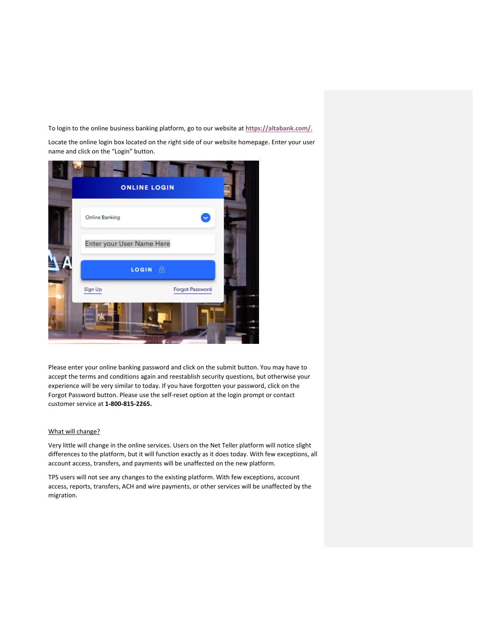To login to the online business banking platform, go to our website at **https://altabank.com/.**

Locate the online login box located on the right side of our website homepage. Enter your user name and click on the "Login" button.



Please enter your online banking password and click on the submit button. You may have to accept the terms and conditions again and reestablish security questions, but otherwise your experience will be very similar to today. If you have forgotten your password, click on the Forgot Password button. Please use the self-reset option at the login prompt or contact customer service at **1-800-815-2265.**

# What will change?

Very little will change in the online services. Users on the Net Teller platform will notice slight differences to the platform, but it will function exactly as it does today. With few exceptions, all account access, transfers, and payments will be unaffected on the new platform.

TPS users will not see any changes to the existing platform. With few exceptions, account access, reports, transfers, ACH and wire payments, or other services will be unaffected by the migration.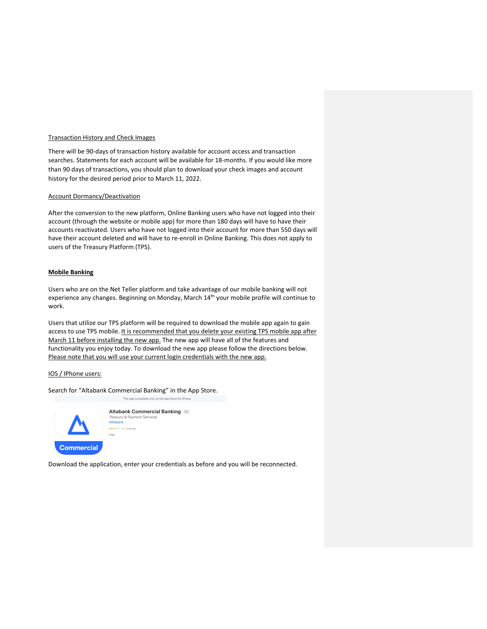## Transaction History and Check Images

There will be 90-days of transaction history available for account access and transaction searches. Statements for each account will be available for 18-months. If you would like more than 90 days of transactions, you should plan to download your check images and account history for the desired period prior to March 11, 2022.

## Account Dormancy/Deactivation

After the conversion to the new platform, Online Banking users who have not logged into their account (through the website or mobile app) for more than 180 days will have to have their accounts reactivated. Users who have not logged into their account for more than 550 days will have their account deleted and will have to re-enroll in Online Banking. This does not apply to users of the Treasury Platform (TPS).

## **Mobile Banking**

Users who are on the Net Teller platform and take advantage of our mobile banking will not experience any changes. Beginning on Monday, March 14<sup>th</sup> your mobile profile will continue to work.

Users that utilize our TPS platform will be required to download the mobile app again to gain access to use TPS mobile. It is recommended that you delete your existing TPS mobile app after March 11 before installing the new app. The new app will have all of the features and functionality you enjoy today. To download the new app please follow the directions below. Please note that you will use your current login credentials with the new app.

### IOS / IPhone users:

Search for "Altabank Commercial Banking" in the App Store.

This app is available only o



Altabank Commercial Banking Freasury & Payr Altabank  $\star\star\star\star\star$  2.1 + 8 Ratings Free

Download the application, enter your credentials as before and you will be reconnected.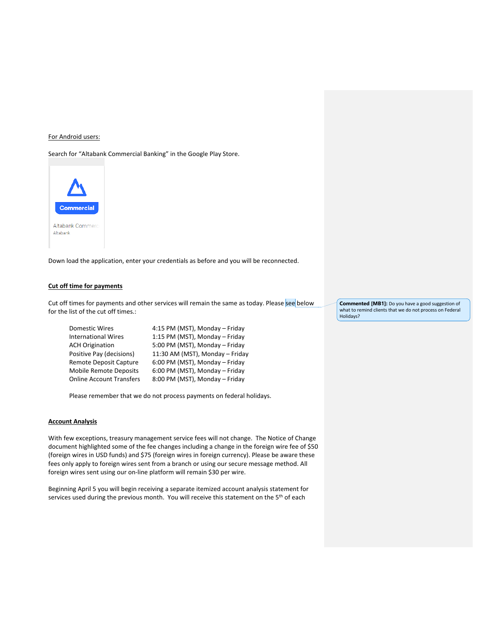## For Android users:

Search for "Altabank Commercial Banking" in the Google Play Store.



Down load the application, enter your credentials as before and you will be reconnected.

## **Cut off time for payments**

Cut off times for payments and other services will remain the same as today. Please see below for the list of the cut off times.:

| Domestic Wires                  | 4:15 PM (MST), Monday - Friday  |
|---------------------------------|---------------------------------|
| <b>International Wires</b>      | 1:15 PM (MST), Monday - Friday  |
| <b>ACH Origination</b>          | 5:00 PM (MST), Monday - Friday  |
| Positive Pay (decisions)        | 11:30 AM (MST), Monday - Friday |
| <b>Remote Deposit Capture</b>   | 6:00 PM (MST), Monday - Friday  |
| <b>Mobile Remote Deposits</b>   | 6:00 PM (MST), Monday - Friday  |
| <b>Online Account Transfers</b> | 8:00 PM (MST), Monday - Friday  |

Please remember that we do not process payments on federal holidays.

## **Account Analysis**

With few exceptions, treasury management service fees will not change. The Notice of Change document highlighted some of the fee changes including a change in the foreign wire fee of \$50 (foreign wires in USD funds) and \$75 (foreign wires in foreign currency). Please be aware these fees only apply to foreign wires sent from a branch or using our secure message method. All foreign wires sent using our on-line platform will remain \$30 per wire.

Beginning April 5 you will begin receiving a separate itemized account analysis statement for services used during the previous month. You will receive this statement on the 5<sup>th</sup> of each

**Commented [MB1]:** Do you have a good suggestion of what to remind clients that we do not process on Federal Holidays?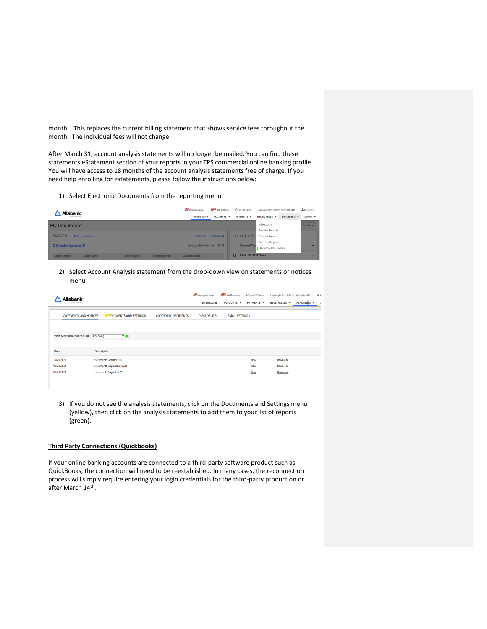month. This replaces the current billing statement that shows service fees throughout the month. The individual fees will not change.

After March 31, account analysis statements will no longer be mailed. You can find these statements eStatement section of your reports in your TPS commercial online banking profile. You will have access to 18 months of the account analysis statements free of charge. If you need help enrolling for estatements, please follow the instructions below:

1) Select Electronic Documents from the reporting menu

| <b>Altabank</b>                                                                | Notifications<br>Message Center  | C Cut-Off Times           | Last Login: 02/12/2022, 10:21 AM, MST           |             | & Hi, a1690 + |
|--------------------------------------------------------------------------------|----------------------------------|---------------------------|-------------------------------------------------|-------------|---------------|
|                                                                                | ACCOUNTS +<br><b>DASHBOARD</b>   | PAYMENTS +                | <b>RECEIVABLES *</b>                            | REPORTING + | ADMIN -       |
| My Dashboard                                                                   |                                  |                           | All Reports                                     |             | Dashboard     |
|                                                                                |                                  |                           | Favorite Reports                                |             |               |
| <b>Accounts</b><br><b>O</b> Manage Groups                                      | Expand All Collapse All          | <b>Information Cer</b>    | <b>Custom Reports</b>                           |             |               |
| <b>O</b> Checking Accounts (3)                                                 | Group available balance: \$92.11 | <b>Download Year</b>      | Standard Reports<br><b>Electronic Documents</b> |             | $\checkmark$  |
| Collected Balance #<br>Current Balance #<br>Account Number #<br>Account Name # | Available Balance #              | 1-866-475-0015 Phone<br>Œ |                                                 |             | $\checkmark$  |

2) Select Account Analysis statement from the drop-down view on statements or notices menu

| Allahank                             |                                                        | Message Center<br><b>DASHBOARD</b> | Notifications<br>ACCOUNTS + | © Cut-Off Times<br>PAYMENTS - | Last Login: 02/12/2022, 10:21 AM, MST<br>RECEIVABLES - | ŵн<br><b>REPORTING</b><br>٠ |
|--------------------------------------|--------------------------------------------------------|------------------------------------|-----------------------------|-------------------------------|--------------------------------------------------------|-----------------------------|
| <b>STATEMENTS AND NOTICES</b>        | DOCUMENTS AND SETTINGS<br><b>ADDITIONAL RECIPIENTS</b> | <b>DISCLOSURES</b>                 | <b>EMAIL SETTINGS</b>       |                               |                                                        |                             |
|                                      |                                                        |                                    |                             |                               |                                                        |                             |
| View Statement/Notices For: Checking | $\mathbf{v}$ .                                         |                                    |                             |                               |                                                        |                             |
|                                      |                                                        |                                    |                             |                               |                                                        |                             |
| Date                                 | <b>Description</b>                                     |                                    |                             |                               |                                                        |                             |
| 10/29/2021                           | Statements October 2021                                |                                    |                             | View                          | Download                                               |                             |
| 09/30/2021                           | Statements September 2021                              |                                    |                             | View                          | Download                                               |                             |
| 08/31/2021                           | <b>Statements August 2021</b>                          |                                    |                             | View                          | Download                                               |                             |
|                                      |                                                        |                                    |                             |                               |                                                        |                             |
|                                      |                                                        |                                    |                             |                               |                                                        |                             |

3) If you do not see the analysis statements, click on the Documents and Settings menu (yellow), then click on the analysis statements to add them to your list of reports (green).

### **Third Party Connections (Quickbooks)**

If your online banking accounts are connected to a third-party software product such as QuickBooks, the connection will need to be reestablished. In many cases, the reconnection process will simply require entering your login credentials for the third-party product on or after March 14th.